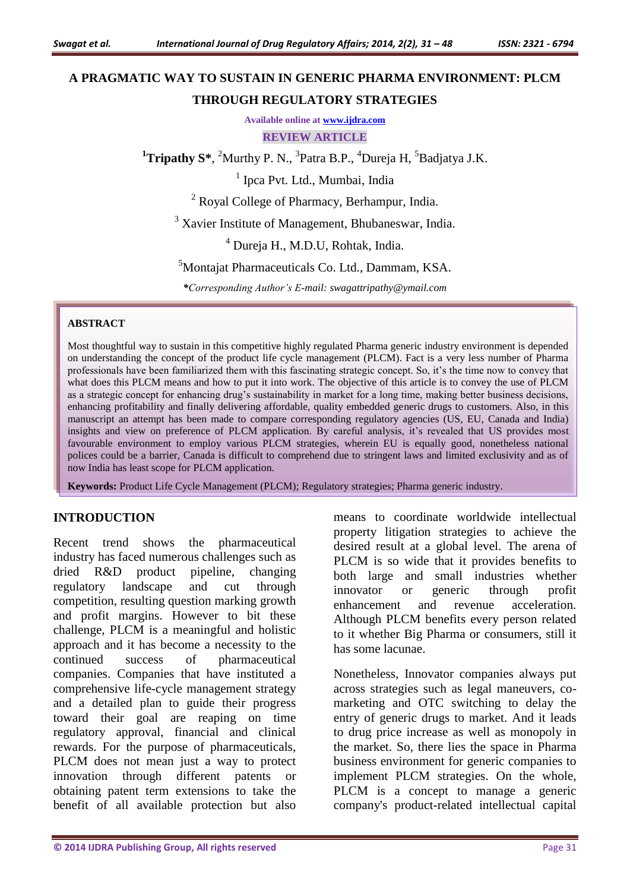# **A PRAGMATIC WAY TO SUSTAIN IN GENERIC PHARMA ENVIRONMENT: PLCM THROUGH REGULATORY STRATEGIES**

**Available online at [www.ijdra.com](http://www.ijdra.com/)**

**REVIEW ARTICLE**

<sup>1</sup>**Tripathy S**\*, <sup>2</sup>Murthy P. N., <sup>3</sup>Patra B.P., <sup>4</sup>Dureja H, <sup>5</sup>Badjatya J.K.

<sup>1</sup> Ipca Pvt. Ltd., Mumbai, India

<sup>2</sup> Royal College of Pharmacy, Berhampur, India.

<sup>3</sup> Xavier Institute of Management, Bhubaneswar, India.

<sup>4</sup> Dureja H., M.D.U, Rohtak, India.

<sup>5</sup>Montajat Pharmaceuticals Co. Ltd., Dammam, KSA.

*\*Corresponding Author's E-mail: swagattripathy@ymail.com*

#### **ABSTRACT**

Most thoughtful way to sustain in this competitive highly regulated Pharma generic industry environment is depended on understanding the concept of the product life cycle management (PLCM). Fact is a very less number of Pharma professionals have been familiarized them with this fascinating strategic concept. So, it's the time now to convey that what does this PLCM means and how to put it into work. The objective of this article is to convey the use of PLCM as a strategic concept for enhancing drug's sustainability in market for a long time, making better business decisions, enhancing profitability and finally delivering affordable, quality embedded generic drugs to customers. Also, in this manuscript an attempt has been made to compare corresponding regulatory agencies (US, EU, Canada and India) insights and view on preference of PLCM application. By careful analysis, it's revealed that US provides most favourable environment to employ various PLCM strategies, wherein EU is equally good, nonetheless national polices could be a barrier, Canada is difficult to comprehend due to stringent laws and limited exclusivity and as of now India has least scope for PLCM application.

**Keywords:** Product Life Cycle Management (PLCM); Regulatory strategies; Pharma generic industry.

#### **INTRODUCTION**

Recent trend shows the pharmaceutical industry has faced numerous challenges such as dried R&D product pipeline, changing regulatory landscape and cut through competition, resulting question marking growth and profit margins. However to bit these challenge, PLCM is a meaningful and holistic approach and it has become a necessity to the continued success of pharmaceutical companies. Companies that have instituted a comprehensive life-cycle management strategy and a detailed plan to guide their progress toward their goal are reaping on time regulatory approval, financial and clinical rewards. For the purpose of pharmaceuticals, PLCM does not mean just a way to protect innovation through different patents or obtaining patent term extensions to take the benefit of all available protection but also

means to coordinate worldwide intellectual property litigation strategies to achieve the desired result at a global level. The arena of PLCM is so wide that it provides benefits to both large and small industries whether innovator or generic through profit enhancement and revenue acceleration. Although PLCM benefits every person related to it whether Big Pharma or consumers, still it has some lacunae.

Nonetheless, Innovator companies always put across strategies such as legal maneuvers, comarketing and OTC switching to delay the entry of generic drugs to market. And it leads to drug price increase as well as monopoly in the market. So, there lies the space in Pharma business environment for generic companies to implement PLCM strategies. On the whole, PLCM is a concept to manage a generic company's product-related intellectual capital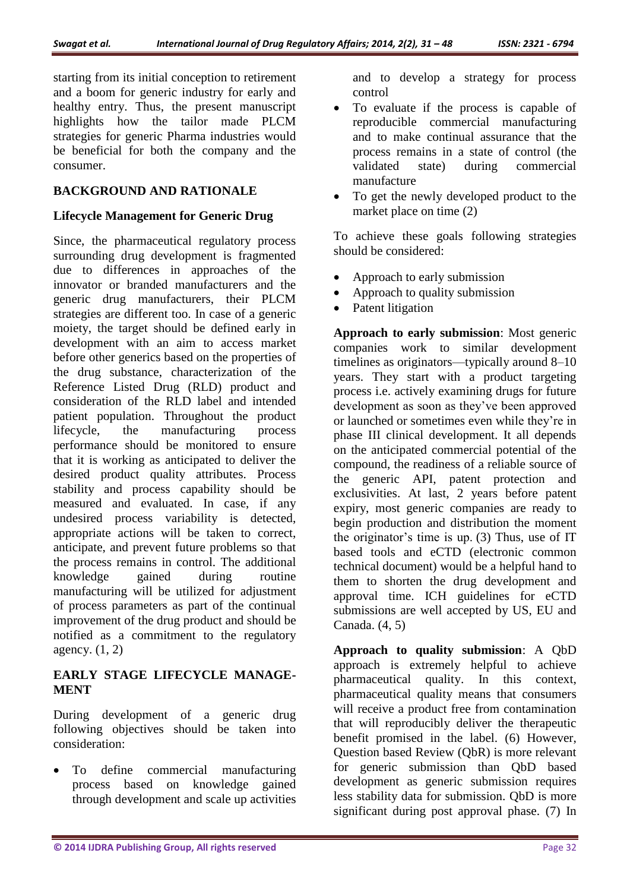starting from its initial conception to retirement and a boom for generic industry for early and healthy entry. Thus, the present manuscript highlights how the tailor made PLCM strategies for generic Pharma industries would be beneficial for both the company and the consumer.

### **BACKGROUND AND RATIONALE**

### **Lifecycle Management for Generic Drug**

Since, the pharmaceutical regulatory process surrounding drug development is fragmented due to differences in approaches of the innovator or branded manufacturers and the generic drug manufacturers, their PLCM strategies are different too. In case of a generic moiety, the target should be defined early in development with an aim to access market before other generics based on the properties of the drug substance, characterization of the Reference Listed Drug (RLD) product and consideration of the RLD label and intended patient population. Throughout the product lifecycle, the manufacturing process performance should be monitored to ensure that it is working as anticipated to deliver the desired product quality attributes. Process stability and process capability should be measured and evaluated. In case, if any undesired process variability is detected, appropriate actions will be taken to correct, anticipate, and prevent future problems so that the process remains in control. The additional knowledge gained during routine manufacturing will be utilized for adjustment of process parameters as part of the continual improvement of the drug product and should be notified as a commitment to the regulatory agency. (1, 2)

### **EARLY STAGE LIFECYCLE MANAGE-MENT**

During development of a generic drug following objectives should be taken into consideration:

 To define commercial manufacturing process based on knowledge gained through development and scale up activities

and to develop a strategy for process control

- To evaluate if the process is capable of reproducible commercial manufacturing and to make continual assurance that the process remains in a state of control (the validated state) during commercial manufacture
- To get the newly developed product to the market place on time (2)

To achieve these goals following strategies should be considered:

- Approach to early submission
- Approach to quality submission
- Patent litigation

**Approach to early submission**: Most generic companies work to similar development timelines as originators—typically around 8–10 years. They start with a product targeting process i.e. actively examining drugs for future development as soon as they've been approved or launched or sometimes even while they're in phase III clinical development. It all depends on the anticipated commercial potential of the compound, the readiness of a reliable source of the generic API, patent protection and exclusivities. At last, 2 years before patent expiry, most generic companies are ready to begin production and distribution the moment the originator's time is up. (3) Thus, use of IT based tools and eCTD (electronic common technical document) would be a helpful hand to them to shorten the drug development and approval time. ICH guidelines for eCTD submissions are well accepted by US, EU and Canada. (4, 5)

**Approach to quality submission**: A QbD approach is extremely helpful to achieve pharmaceutical quality. In this context, pharmaceutical quality means that consumers will receive a product free from contamination that will reproducibly deliver the therapeutic benefit promised in the label. (6) However, Question based Review (QbR) is more relevant for generic submission than QbD based development as generic submission requires less stability data for submission. QbD is more significant during post approval phase. (7) In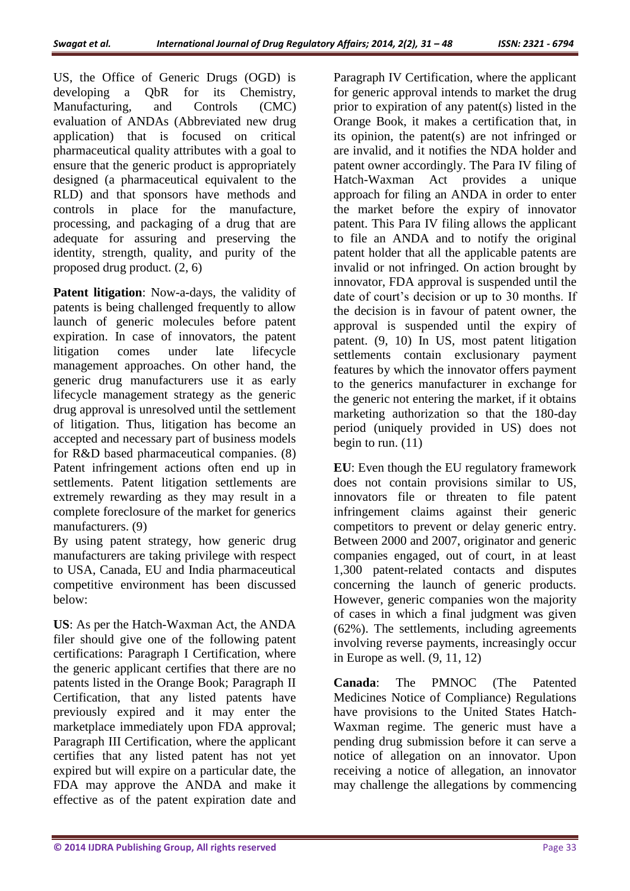US, the Office of Generic Drugs (OGD) is developing a QbR for its Chemistry, Manufacturing, and Controls (CMC) evaluation of ANDAs (Abbreviated new drug application) that is focused on critical pharmaceutical quality attributes with a goal to ensure that the generic product is appropriately designed (a pharmaceutical equivalent to the RLD) and that sponsors have methods and controls in place for the manufacture, processing, and packaging of a drug that are adequate for assuring and preserving the identity, strength, quality, and purity of the proposed drug product. (2, 6)

**Patent litigation**: Now-a-days, the validity of patents is being challenged frequently to allow launch of generic molecules before patent expiration. In case of innovators, the patent litigation comes under late lifecycle management approaches. On other hand, the generic drug manufacturers use it as early lifecycle management strategy as the generic drug approval is unresolved until the settlement of litigation. Thus, litigation has become an accepted and necessary part of business models for R&D based pharmaceutical companies. (8) Patent infringement actions often end up in settlements. Patent litigation settlements are extremely rewarding as they may result in a complete foreclosure of the market for generics manufacturers. (9)

By using patent strategy, how generic drug manufacturers are taking privilege with respect to USA, Canada, EU and India pharmaceutical competitive environment has been discussed below:

**US**: As per the Hatch-Waxman Act, the ANDA filer should give one of the following patent certifications: Paragraph I Certification, where the generic applicant certifies that there are no patents listed in the Orange Book; Paragraph II Certification, that any listed patents have previously expired and it may enter the marketplace immediately upon FDA approval; Paragraph III Certification, where the applicant certifies that any listed patent has not yet expired but will expire on a particular date, the FDA may approve the ANDA and make it effective as of the patent expiration date and Paragraph IV Certification, where the applicant for generic approval intends to market the drug prior to expiration of any patent(s) listed in the Orange Book, it makes a certification that, in its opinion, the patent(s) are not infringed or are invalid, and it notifies the NDA holder and patent owner accordingly. The Para IV filing of Hatch-Waxman Act provides a unique approach for filing an ANDA in order to enter the market before the expiry of innovator patent. This Para IV filing allows the applicant to file an ANDA and to notify the original patent holder that all the applicable patents are invalid or not infringed. On action brought by innovator, FDA approval is suspended until the date of court's decision or up to 30 months. If the decision is in favour of patent owner, the approval is suspended until the expiry of patent. (9, 10) In US, most patent litigation settlements contain exclusionary payment features by which the innovator offers payment to the generics manufacturer in exchange for the generic not entering the market, if it obtains marketing authorization so that the 180-day period (uniquely provided in US) does not begin to run. (11)

**EU**: Even though the EU regulatory framework does not contain provisions similar to US, innovators file or threaten to file patent infringement claims against their generic competitors to prevent or delay generic entry. Between 2000 and 2007, originator and generic companies engaged, out of court, in at least 1,300 patent-related contacts and disputes concerning the launch of generic products. However, generic companies won the majority of cases in which a final judgment was given (62%). The settlements, including agreements involving reverse payments, increasingly occur in Europe as well. (9, 11, 12)

**Canada**: The PMNOC (The Patented Medicines Notice of Compliance) Regulations have provisions to the United States Hatch-Waxman regime. The generic must have a pending drug submission before it can serve a notice of allegation on an innovator. Upon receiving a notice of allegation, an innovator may challenge the allegations by commencing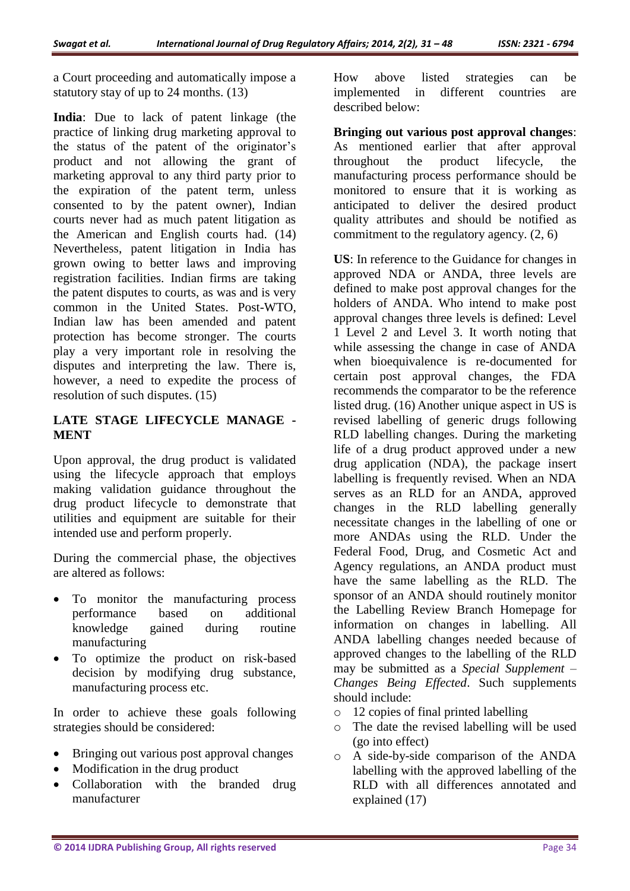a Court proceeding and automatically impose a statutory stay of up to 24 months. (13)

**India**: Due to lack of patent linkage (the practice of linking drug marketing approval to the status of the patent of the originator's product and not allowing the grant of marketing approval to any third party prior to the expiration of the patent term, unless consented to by the patent owner), Indian courts never had as much patent litigation as the American and English courts had. (14) Nevertheless, patent litigation in India has grown owing to better laws and improving registration facilities. Indian firms are taking the patent disputes to courts, as was and is very common in the United States. Post-WTO, Indian law has been amended and patent protection has become stronger. The courts play a very important role in resolving the disputes and interpreting the law. There is, however, a need to expedite the process of resolution of such disputes. (15)

### **LATE STAGE LIFECYCLE MANAGE - MENT**

Upon approval, the drug product is validated using the lifecycle approach that employs making validation guidance throughout the drug product lifecycle to demonstrate that utilities and equipment are suitable for their intended use and perform properly.

During the commercial phase, the objectives are altered as follows:

- To monitor the manufacturing process performance based on additional knowledge gained during routine manufacturing
- To optimize the product on risk-based decision by modifying drug substance, manufacturing process etc.

In order to achieve these goals following strategies should be considered:

- Bringing out various post approval changes
- Modification in the drug product
- Collaboration with the branded drug manufacturer

How above listed strategies can be implemented in different countries are described below:

**Bringing out various post approval changes**: As mentioned earlier that after approval throughout the product lifecycle, the manufacturing process performance should be monitored to ensure that it is working as anticipated to deliver the desired product quality attributes and should be notified as commitment to the regulatory agency. (2, 6)

**US**: In reference to the Guidance for changes in approved NDA or ANDA, three levels are defined to make post approval changes for the holders of ANDA. Who intend to make post approval changes three levels is defined: Level 1 Level 2 and Level 3. It worth noting that while assessing the change in case of ANDA when bioequivalence is re-documented for certain post approval changes, the FDA recommends the comparator to be the reference listed drug. (16) Another unique aspect in US is revised labelling of generic drugs following RLD labelling changes. During the marketing life of a drug product approved under a new drug application (NDA), the package insert labelling is frequently revised. When an NDA serves as an RLD for an ANDA, approved changes in the RLD labelling generally necessitate changes in the labelling of one or more ANDAs using the RLD. Under the Federal Food, Drug, and Cosmetic Act and Agency regulations, an ANDA product must have the same labelling as the RLD. The sponsor of an ANDA should routinely monitor the Labelling Review Branch Homepage for information on changes in labelling. All ANDA labelling changes needed because of approved changes to the labelling of the RLD may be submitted as a *Special Supplement – Changes Being Effected*. Such supplements should include:

- o 12 copies of final printed labelling
- o The date the revised labelling will be used (go into effect)
- o A side-by-side comparison of the ANDA labelling with the approved labelling of the RLD with all differences annotated and explained (17)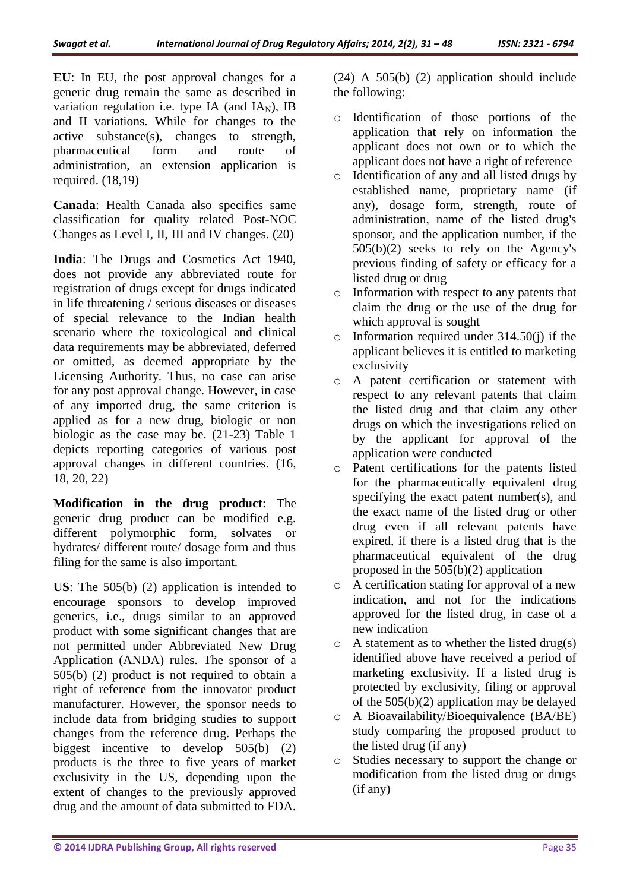**EU**: In EU, the post approval changes for a generic drug remain the same as described in variation regulation i.e. type IA (and  $IA<sub>N</sub>$ ), IB and II variations. While for changes to the active substance(s), changes to strength, pharmaceutical form and route of administration, an extension application is required. (18,19)

**Canada**: Health Canada also specifies same classification for quality related Post-NOC Changes as Level I, II, III and IV changes. (20)

**India**: The Drugs and Cosmetics Act 1940, does not provide any abbreviated route for registration of drugs except for drugs indicated in life threatening / serious diseases or diseases of special relevance to the Indian health scenario where the toxicological and clinical data requirements may be abbreviated, deferred or omitted, as deemed appropriate by the Licensing Authority. Thus, no case can arise for any post approval change. However, in case of any imported drug, the same criterion is applied as for a new drug, biologic or non biologic as the case may be. (21-23) Table 1 depicts reporting categories of various post approval changes in different countries. (16, 18, 20, 22)

**Modification in the drug product**: The generic drug product can be modified e.g. different polymorphic form, solvates or hydrates/ different route/ dosage form and thus filing for the same is also important.

**US**: The 505(b) (2) application is intended to encourage sponsors to develop improved generics, i.e., drugs similar to an approved product with some significant changes that are not permitted under Abbreviated New Drug Application (ANDA) rules. The sponsor of a 505(b) (2) product is not required to obtain a right of reference from the innovator product manufacturer. However, the sponsor needs to include data from bridging studies to support changes from the reference drug. Perhaps the biggest incentive to develop 505(b) (2) products is the three to five years of market exclusivity in the US, depending upon the extent of changes to the previously approved drug and the amount of data submitted to FDA.

(24) A 505(b) (2) application should include the following:

- o Identification of those portions of the application that rely on information the applicant does not own or to which the applicant does not have a right of reference
- o Identification of any and all listed drugs by established name, proprietary name (if any), dosage form, strength, route of administration, name of the listed drug's sponsor, and the application number, if the 505(b)(2) seeks to rely on the Agency's previous finding of safety or efficacy for a listed drug or drug
- o Information with respect to any patents that claim the drug or the use of the drug for which approval is sought
- $\circ$  Information required under 314.50(j) if the applicant believes it is entitled to marketing exclusivity
- o A patent certification or statement with respect to any relevant patents that claim the listed drug and that claim any other drugs on which the investigations relied on by the applicant for approval of the application were conducted
- o Patent certifications for the patents listed for the pharmaceutically equivalent drug specifying the exact patent number(s), and the exact name of the listed drug or other drug even if all relevant patents have expired, if there is a listed drug that is the pharmaceutical equivalent of the drug proposed in the 505(b)(2) application
- o A certification stating for approval of a new indication, and not for the indications approved for the listed drug, in case of a new indication
- $\circ$  A statement as to whether the listed drug(s) identified above have received a period of marketing exclusivity. If a listed drug is protected by exclusivity, filing or approval of the 505(b)(2) application may be delayed
- o A Bioavailability/Bioequivalence (BA/BE) study comparing the proposed product to the listed drug (if any)
- o Studies necessary to support the change or modification from the listed drug or drugs (if any)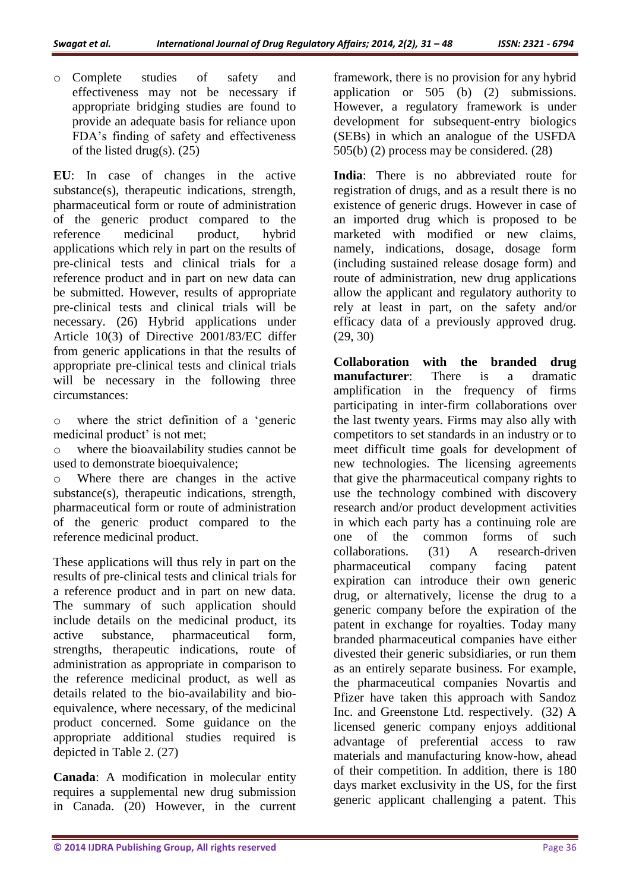o Complete studies of safety and effectiveness may not be necessary if appropriate bridging studies are found to provide an adequate basis for reliance upon FDA's finding of safety and effectiveness of the listed drug(s).  $(25)$ 

**EU**: In case of changes in the active substance(s), therapeutic indications, strength, pharmaceutical form or route of administration of the generic product compared to the reference medicinal product, hybrid applications which rely in part on the results of pre-clinical tests and clinical trials for a reference product and in part on new data can be submitted. However, results of appropriate pre-clinical tests and clinical trials will be necessary. (26) Hybrid applications under Article 10(3) of Directive 2001/83/EC differ from generic applications in that the results of appropriate pre-clinical tests and clinical trials will be necessary in the following three circumstances:

o where the strict definition of a 'generic medicinal product' is not met;

o where the bioavailability studies cannot be used to demonstrate bioequivalence;

o Where there are changes in the active substance(s), therapeutic indications, strength, pharmaceutical form or route of administration of the generic product compared to the reference medicinal product.

These applications will thus rely in part on the results of pre-clinical tests and clinical trials for a reference product and in part on new data. The summary of such application should include details on the medicinal product, its active substance, pharmaceutical form, strengths, therapeutic indications, route of administration as appropriate in comparison to the reference medicinal product, as well as details related to the bio-availability and bioequivalence, where necessary, of the medicinal product concerned. Some guidance on the appropriate additional studies required is depicted in Table 2. (27)

**Canada**: A modification in molecular entity requires a supplemental new drug submission in Canada. (20) However, in the current framework, there is no provision for any hybrid application or 505 (b) (2) submissions. However, a regulatory framework is under development for subsequent-entry biologics (SEBs) in which an analogue of the USFDA 505(b) (2) process may be considered. (28)

**India**: There is no abbreviated route for registration of drugs, and as a result there is no existence of generic drugs. However in case of an imported drug which is proposed to be marketed with modified or new claims, namely, indications, dosage, dosage form (including sustained release dosage form) and route of administration, new drug applications allow the applicant and regulatory authority to rely at least in part, on the safety and/or efficacy data of a previously approved drug. (29, 30)

**Collaboration with the branded drug manufacturer**: There is a dramatic amplification in the frequency of firms participating in inter-firm collaborations over the last twenty years. Firms may also ally with competitors to set standards in an industry or to meet difficult time goals for development of new technologies. The licensing agreements that give the pharmaceutical company rights to use the technology combined with discovery research and/or product development activities in which each party has a continuing role are one of the common forms of such collaborations. (31) A research-driven pharmaceutical company facing patent expiration can introduce their own generic drug, or alternatively, license the drug to a generic company before the expiration of the patent in exchange for royalties. Today many branded pharmaceutical companies have either divested their generic subsidiaries, or run them as an entirely separate business. For example, the pharmaceutical companies Novartis and Pfizer have taken this approach with Sandoz Inc. and Greenstone Ltd. respectively. (32) A licensed generic company enjoys additional advantage of preferential access to raw materials and manufacturing know-how, ahead of their competition. In addition, there is 180 days market exclusivity in the US, for the first generic applicant challenging a patent. This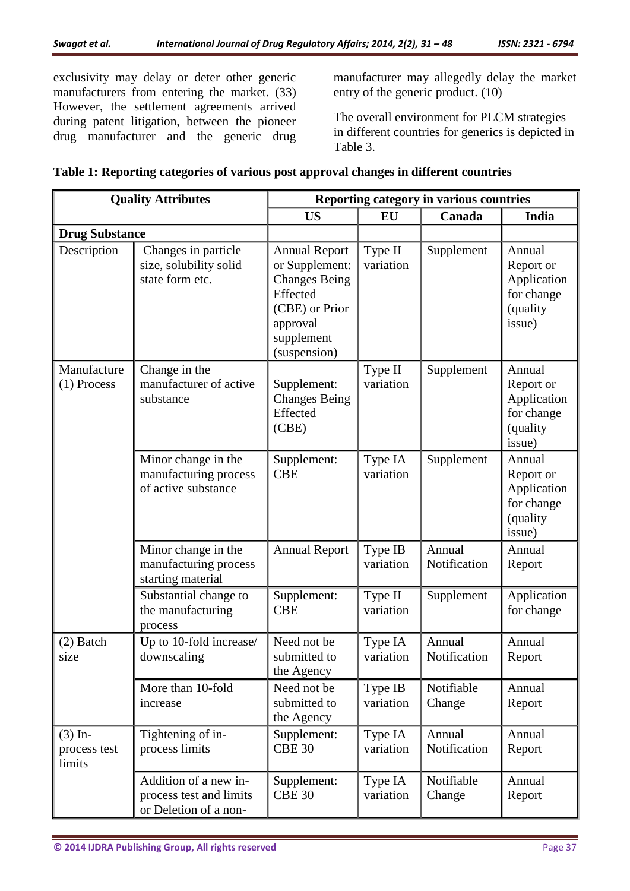exclusivity may delay or deter other generic manufacturers from entering the market. (33) However, the settlement agreements arrived during patent litigation, between the pioneer drug manufacturer and the generic drug

manufacturer may allegedly delay the market entry of the generic product. (10)

The overall environment for PLCM strategies in different countries for generics is depicted in Table 3.

|  |  | Table 1: Reporting categories of various post approval changes in different countries |  |  |
|--|--|---------------------------------------------------------------------------------------|--|--|
|  |  |                                                                                       |  |  |

| <b>Quality Attributes</b>           |                                                                           | Reporting category in various countries                                                                                                |                      |                        |                                                                        |  |
|-------------------------------------|---------------------------------------------------------------------------|----------------------------------------------------------------------------------------------------------------------------------------|----------------------|------------------------|------------------------------------------------------------------------|--|
|                                     |                                                                           | <b>US</b>                                                                                                                              | EU                   | Canada                 | India                                                                  |  |
| <b>Drug Substance</b>               |                                                                           |                                                                                                                                        |                      |                        |                                                                        |  |
| Description                         | Changes in particle<br>size, solubility solid<br>state form etc.          | <b>Annual Report</b><br>or Supplement:<br><b>Changes Being</b><br>Effected<br>(CBE) or Prior<br>approval<br>supplement<br>(suspension) | Type II<br>variation | Supplement             | Annual<br>Report or<br>Application<br>for change<br>(quality<br>issue) |  |
| Manufacture<br>$(1)$ Process        | Change in the<br>manufacturer of active<br>substance                      | Supplement:<br><b>Changes Being</b><br>Effected<br>(CBE)                                                                               | Type II<br>variation | Supplement             | Annual<br>Report or<br>Application<br>for change<br>(quality<br>issue) |  |
|                                     | Minor change in the<br>manufacturing process<br>of active substance       | Supplement:<br><b>CBE</b>                                                                                                              | Type IA<br>variation | Supplement             | Annual<br>Report or<br>Application<br>for change<br>(quality<br>issue) |  |
|                                     | Minor change in the<br>manufacturing process<br>starting material         | <b>Annual Report</b>                                                                                                                   | Type IB<br>variation | Annual<br>Notification | Annual<br>Report                                                       |  |
|                                     | Substantial change to<br>the manufacturing<br>process                     | Supplement:<br><b>CBE</b>                                                                                                              | Type II<br>variation | Supplement             | Application<br>for change                                              |  |
| (2) Batch<br>size                   | Up to 10-fold increase/<br>downscaling                                    | Need not be<br>submitted to<br>the Agency                                                                                              | Type IA<br>variation | Annual<br>Notification | Annual<br>Report                                                       |  |
|                                     | More than 10-fold<br>increase                                             | Need not be<br>submitted to<br>the Agency                                                                                              | Type IB<br>variation | Notifiable<br>Change   | Annual<br>Report                                                       |  |
| $(3)$ In-<br>process test<br>limits | Tightening of in-<br>process limits                                       | Supplement:<br><b>CBE 30</b>                                                                                                           | Type IA<br>variation | Annual<br>Notification | Annual<br>Report                                                       |  |
|                                     | Addition of a new in-<br>process test and limits<br>or Deletion of a non- | Supplement:<br><b>CBE 30</b>                                                                                                           | Type IA<br>variation | Notifiable<br>Change   | Annual<br>Report                                                       |  |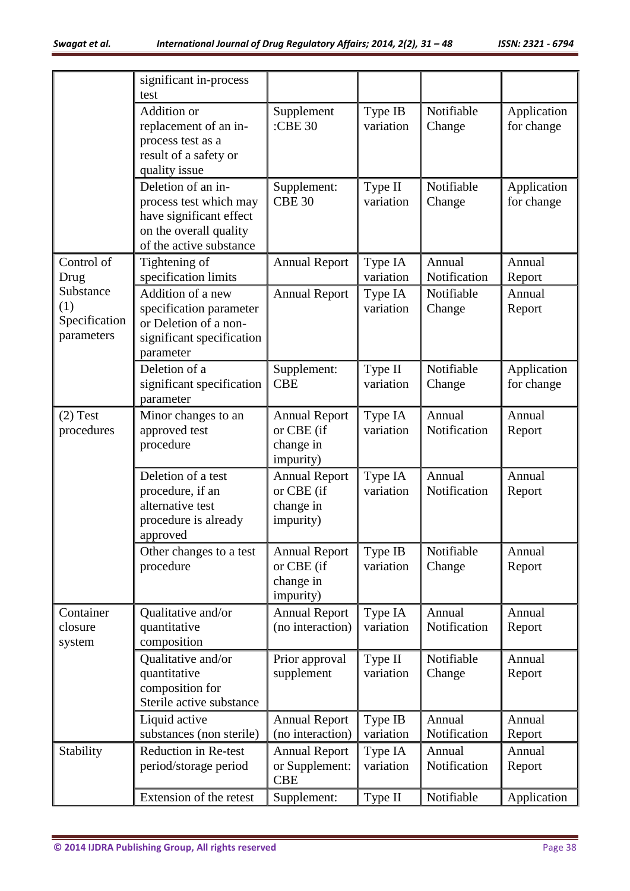|                                                 | significant in-process<br>test                                                                                               |                                                              |                      |                        |                           |
|-------------------------------------------------|------------------------------------------------------------------------------------------------------------------------------|--------------------------------------------------------------|----------------------|------------------------|---------------------------|
|                                                 | Addition or<br>replacement of an in-<br>process test as a<br>result of a safety or<br>quality issue                          | Supplement<br>:CBE 30                                        | Type IB<br>variation | Notifiable<br>Change   | Application<br>for change |
|                                                 | Deletion of an in-<br>process test which may<br>have significant effect<br>on the overall quality<br>of the active substance | Supplement:<br><b>CBE 30</b>                                 | Type II<br>variation | Notifiable<br>Change   | Application<br>for change |
| Control of<br>Drug                              | Tightening of<br>specification limits                                                                                        | <b>Annual Report</b>                                         | Type IA<br>variation | Annual<br>Notification | Annual<br>Report          |
| Substance<br>(1)<br>Specification<br>parameters | Addition of a new<br>specification parameter<br>or Deletion of a non-<br>significant specification<br>parameter              | <b>Annual Report</b>                                         | Type IA<br>variation | Notifiable<br>Change   | Annual<br>Report          |
|                                                 | Deletion of a<br>significant specification<br>parameter                                                                      | Supplement:<br><b>CBE</b>                                    | Type II<br>variation | Notifiable<br>Change   | Application<br>for change |
| $(2)$ Test<br>procedures                        | Minor changes to an<br>approved test<br>procedure                                                                            | <b>Annual Report</b><br>or CBE (if<br>change in<br>impurity) | Type IA<br>variation | Annual<br>Notification | Annual<br>Report          |
|                                                 | Deletion of a test<br>procedure, if an<br>alternative test<br>procedure is already<br>approved                               | <b>Annual Report</b><br>or CBE (if<br>change in<br>impurity) | Type IA<br>variation | Annual<br>Notification | Annual<br>Report          |
|                                                 | Other changes to a test<br>procedure                                                                                         | <b>Annual Report</b><br>or CBE (if<br>change in<br>impurity) | Type IB<br>variation | Notifiable<br>Change   | Annual<br>Report          |
| Container<br>closure<br>system                  | Qualitative and/or<br>quantitative<br>composition                                                                            | <b>Annual Report</b><br>(no interaction)                     | Type IA<br>variation | Annual<br>Notification | Annual<br>Report          |
|                                                 | Qualitative and/or<br>quantitative<br>composition for<br>Sterile active substance                                            | Prior approval<br>supplement                                 | Type II<br>variation | Notifiable<br>Change   | Annual<br>Report          |
|                                                 | Liquid active<br>substances (non sterile)                                                                                    | <b>Annual Report</b><br>(no interaction)                     | Type IB<br>variation | Annual<br>Notification | Annual<br>Report          |
| Stability                                       | Reduction in Re-test<br>period/storage period                                                                                | <b>Annual Report</b><br>or Supplement:<br><b>CBE</b>         | Type IA<br>variation | Annual<br>Notification | Annual<br>Report          |
|                                                 | Extension of the retest                                                                                                      | Supplement:                                                  | Type II              | Notifiable             | Application               |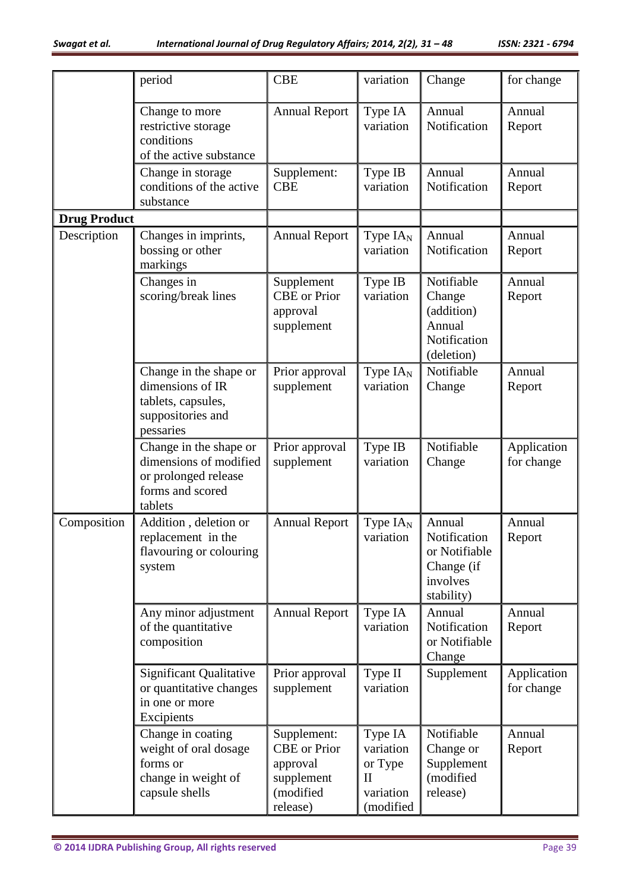|                     | period                                                                                                  | <b>CBE</b>                                                                            | variation                                                                 | Change                                                                          | for change                |
|---------------------|---------------------------------------------------------------------------------------------------------|---------------------------------------------------------------------------------------|---------------------------------------------------------------------------|---------------------------------------------------------------------------------|---------------------------|
|                     | Change to more<br>restrictive storage<br>conditions<br>of the active substance                          | <b>Annual Report</b>                                                                  | Type IA<br>variation                                                      | Annual<br>Notification                                                          | Annual<br>Report          |
|                     | Change in storage<br>conditions of the active<br>substance                                              | Supplement:<br><b>CBE</b>                                                             | Type IB<br>variation                                                      | Annual<br>Notification                                                          | Annual<br>Report          |
| <b>Drug Product</b> |                                                                                                         |                                                                                       |                                                                           |                                                                                 |                           |
| Description         | Changes in imprints,<br>bossing or other<br>markings                                                    | <b>Annual Report</b>                                                                  | Type $IA_{N}$<br>variation                                                | Annual<br>Notification                                                          | Annual<br>Report          |
|                     | Changes in<br>scoring/break lines                                                                       | Supplement<br><b>CBE</b> or Prior<br>approval<br>supplement                           | Type IB<br>variation                                                      | Notifiable<br>Change<br>(addition)<br>Annual<br>Notification<br>(deletion)      | Annual<br>Report          |
|                     | Change in the shape or<br>dimensions of IR<br>tablets, capsules,<br>suppositories and<br>pessaries      | Prior approval<br>supplement                                                          | Type $IAN$<br>variation                                                   | Notifiable<br>Change                                                            | Annual<br>Report          |
|                     | Change in the shape or<br>dimensions of modified<br>or prolonged release<br>forms and scored<br>tablets | Prior approval<br>supplement                                                          | Type IB<br>variation                                                      | Notifiable<br>Change                                                            | Application<br>for change |
| Composition         | Addition, deletion or<br>replacement in the<br>flavouring or colouring<br>system                        | <b>Annual Report</b>                                                                  | Type $IA_{N}$<br>variation                                                | Annual<br>Notification<br>or Notifiable<br>Change (if<br>involves<br>stability) | Annual<br>Report          |
|                     | Any minor adjustment<br>of the quantitative<br>composition                                              | <b>Annual Report</b>                                                                  | Type IA<br>variation                                                      | Annual<br>Notification<br>or Notifiable<br>Change                               | Annual<br>Report          |
|                     | <b>Significant Qualitative</b><br>or quantitative changes<br>in one or more<br>Excipients               | Prior approval<br>supplement                                                          | Type II<br>variation                                                      | Supplement                                                                      | Application<br>for change |
|                     | Change in coating<br>weight of oral dosage<br>forms or<br>change in weight of<br>capsule shells         | Supplement:<br><b>CBE</b> or Prior<br>approval<br>supplement<br>(modified<br>release) | Type IA<br>variation<br>or Type<br>$\mathbf{I}$<br>variation<br>(modified | Notifiable<br>Change or<br>Supplement<br>(modified<br>release)                  | Annual<br>Report          |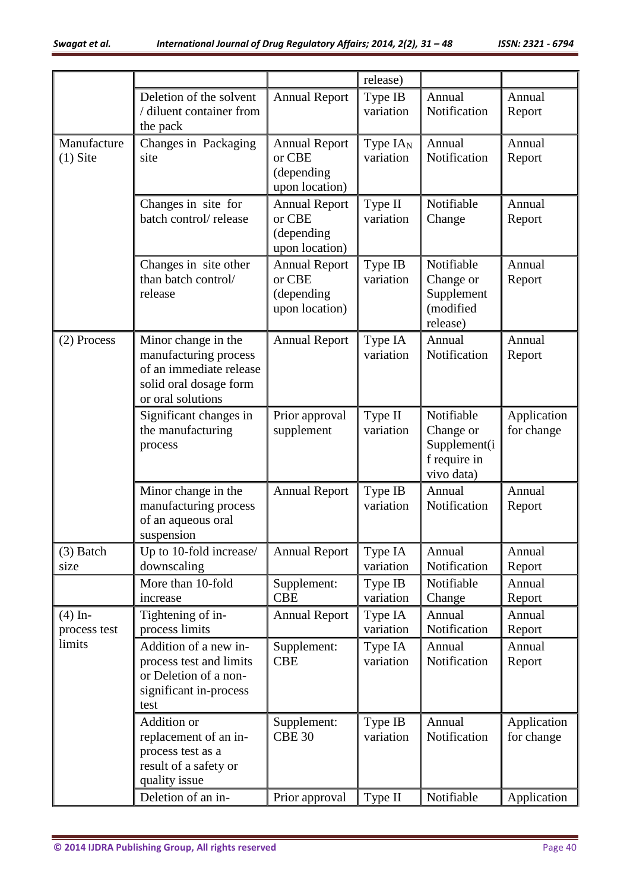|                           |                                                   |                              | release)             |                              |                  |
|---------------------------|---------------------------------------------------|------------------------------|----------------------|------------------------------|------------------|
|                           | Deletion of the solvent                           | <b>Annual Report</b>         | Type IB              | Annual                       | Annual           |
|                           | / diluent container from                          |                              | variation            | Notification                 | Report           |
| Manufacture               | the pack<br>Changes in Packaging                  | <b>Annual Report</b>         | Type $IAN$           | Annual                       | Annual           |
| $(1)$ Site                | site                                              | or CBE                       | variation            | Notification                 | Report           |
|                           |                                                   | (depending                   |                      |                              |                  |
|                           |                                                   | upon location)               |                      |                              |                  |
|                           | Changes in site for                               | <b>Annual Report</b>         | Type II              | Notifiable                   | Annual           |
|                           | batch control/release                             | or CBE<br>(depending         | variation            | Change                       | Report           |
|                           |                                                   | upon location)               |                      |                              |                  |
|                           | Changes in site other                             | <b>Annual Report</b>         | Type IB              | Notifiable                   | Annual           |
|                           | than batch control/                               | or CBE                       | variation            | Change or                    | Report           |
|                           | release                                           | (depending<br>upon location) |                      | Supplement<br>(modified      |                  |
|                           |                                                   |                              |                      | release)                     |                  |
| (2) Process               | Minor change in the                               | <b>Annual Report</b>         | Type IA              | Annual                       | Annual           |
|                           | manufacturing process                             |                              | variation            | Notification                 | Report           |
|                           | of an immediate release<br>solid oral dosage form |                              |                      |                              |                  |
|                           | or oral solutions                                 |                              |                      |                              |                  |
|                           | Significant changes in                            | Prior approval               | Type II              | Notifiable                   | Application      |
|                           | the manufacturing                                 | supplement                   | variation            | Change or                    | for change       |
|                           | process                                           |                              |                      | Supplement(i<br>f require in |                  |
|                           |                                                   |                              |                      | vivo data)                   |                  |
|                           | Minor change in the                               | <b>Annual Report</b>         | Type IB              | Annual                       | Annual           |
|                           | manufacturing process                             |                              | variation            | Notification                 | Report           |
|                           | of an aqueous oral<br>suspension                  |                              |                      |                              |                  |
| $(3)$ Batch               | Up to 10-fold increase/                           | <b>Annual Report</b>         | Type IA              | Annual                       | Annual           |
| size                      | downscaling                                       |                              | variation            | Notification                 | Report           |
|                           | More than 10-fold                                 | Supplement:                  | Type IB              | Notifiable                   | Annual           |
|                           | increase<br>Tightening of in-                     | <b>CBE</b>                   | variation            | Change<br>Annual             | Report<br>Annual |
| $(4)$ In-<br>process test | process limits                                    | <b>Annual Report</b>         | Type IA<br>variation | Notification                 | Report           |
| limits                    | Addition of a new in-                             | Supplement:                  | Type IA              | Annual                       | Annual           |
|                           | process test and limits                           | <b>CBE</b>                   | variation            | Notification                 | Report           |
|                           | or Deletion of a non-                             |                              |                      |                              |                  |
|                           | significant in-process<br>test                    |                              |                      |                              |                  |
|                           | Addition or                                       | Supplement:                  | Type IB              | Annual                       | Application      |
|                           | replacement of an in-                             | <b>CBE 30</b>                | variation            | Notification                 | for change       |
|                           | process test as a                                 |                              |                      |                              |                  |
|                           | result of a safety or<br>quality issue            |                              |                      |                              |                  |
|                           | Deletion of an in-                                | Prior approval               | Type II              | Notifiable                   | Application      |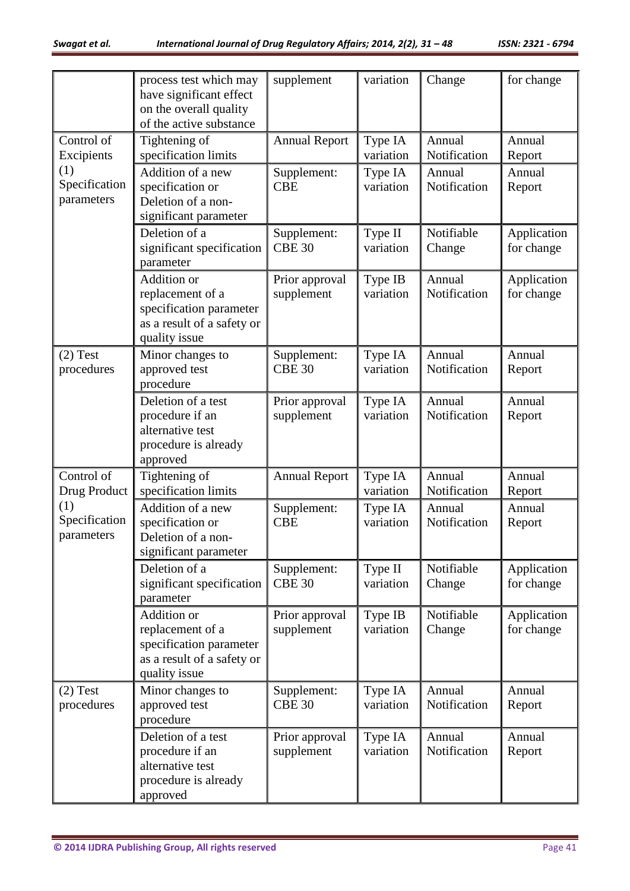|                                    | process test which may<br>have significant effect<br>on the overall quality<br>of the active substance           | supplement                   | variation            | Change                 | for change                |
|------------------------------------|------------------------------------------------------------------------------------------------------------------|------------------------------|----------------------|------------------------|---------------------------|
| Control of<br>Excipients           | Tightening of<br>specification limits                                                                            | <b>Annual Report</b>         | Type IA<br>variation | Annual<br>Notification | Annual<br>Report          |
| (1)<br>Specification<br>parameters | Addition of a new<br>specification or<br>Deletion of a non-<br>significant parameter                             | Supplement:<br><b>CBE</b>    | Type IA<br>variation | Annual<br>Notification | Annual<br>Report          |
|                                    | Deletion of a<br>significant specification<br>parameter                                                          | Supplement:<br><b>CBE 30</b> | Type II<br>variation | Notifiable<br>Change   | Application<br>for change |
|                                    | <b>Addition</b> or<br>replacement of a<br>specification parameter<br>as a result of a safety or<br>quality issue | Prior approval<br>supplement | Type IB<br>variation | Annual<br>Notification | Application<br>for change |
| $(2)$ Test<br>procedures           | Minor changes to<br>approved test<br>procedure                                                                   | Supplement:<br><b>CBE 30</b> | Type IA<br>variation | Annual<br>Notification | Annual<br>Report          |
|                                    | Deletion of a test<br>procedure if an<br>alternative test<br>procedure is already<br>approved                    | Prior approval<br>supplement | Type IA<br>variation | Annual<br>Notification | Annual<br>Report          |
| Control of<br>Drug Product         | Tightening of<br>specification limits                                                                            | <b>Annual Report</b>         | Type IA<br>variation | Annual<br>Notification | Annual<br>Report          |
| (1)<br>Specification<br>parameters | Addition of a new<br>specification or<br>Deletion of a non-<br>significant parameter                             | Supplement:<br><b>CBE</b>    | Type IA<br>variation | Annual<br>Notification | Annual<br>Report          |
|                                    | Deletion of a<br>significant specification<br>parameter                                                          | Supplement:<br><b>CBE 30</b> | Type II<br>variation | Notifiable<br>Change   | Application<br>for change |
|                                    | Addition or<br>replacement of a<br>specification parameter<br>as a result of a safety or<br>quality issue        | Prior approval<br>supplement | Type IB<br>variation | Notifiable<br>Change   | Application<br>for change |
| $(2)$ Test<br>procedures           | Minor changes to<br>approved test<br>procedure                                                                   | Supplement:<br><b>CBE 30</b> | Type IA<br>variation | Annual<br>Notification | Annual<br>Report          |
|                                    | Deletion of a test<br>procedure if an<br>alternative test<br>procedure is already<br>approved                    | Prior approval<br>supplement | Type IA<br>variation | Annual<br>Notification | Annual<br>Report          |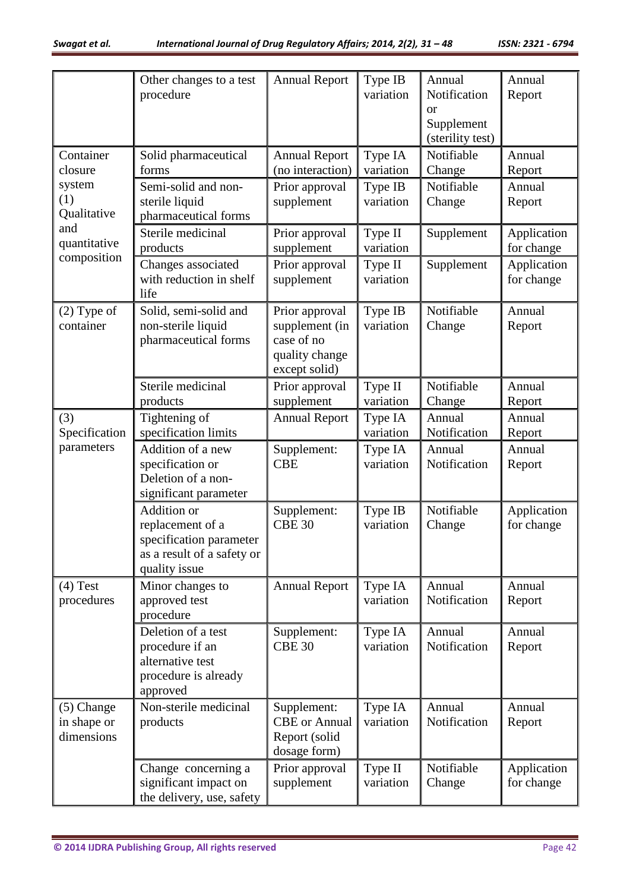|                                           | Other changes to a test<br>procedure                                                                             | <b>Annual Report</b>                                                              | Type IB<br>variation | Annual<br>Notification<br><sub>or</sub><br>Supplement<br>(sterility test) | Annual<br>Report          |
|-------------------------------------------|------------------------------------------------------------------------------------------------------------------|-----------------------------------------------------------------------------------|----------------------|---------------------------------------------------------------------------|---------------------------|
| Container<br>closure                      | Solid pharmaceutical<br>forms                                                                                    | <b>Annual Report</b><br>(no interaction)                                          | Type IA<br>variation | Notifiable<br>Change                                                      | Annual<br>Report          |
| system<br>(1)<br>Qualitative              | Semi-solid and non-<br>sterile liquid<br>pharmaceutical forms                                                    | Prior approval<br>supplement                                                      | Type IB<br>variation | Notifiable<br>Change                                                      | Annual<br>Report          |
| and<br>quantitative                       | Sterile medicinal<br>products                                                                                    | Prior approval<br>supplement                                                      | Type II<br>variation | Supplement                                                                | Application<br>for change |
| composition                               | Changes associated<br>with reduction in shelf<br>life                                                            | Prior approval<br>supplement                                                      | Type II<br>variation | Supplement                                                                | Application<br>for change |
| $(2)$ Type of<br>container                | Solid, semi-solid and<br>non-sterile liquid<br>pharmaceutical forms                                              | Prior approval<br>supplement (in<br>case of no<br>quality change<br>except solid) | Type IB<br>variation | Notifiable<br>Change                                                      | Annual<br>Report          |
|                                           | Sterile medicinal<br>products                                                                                    | Prior approval<br>supplement                                                      | Type II<br>variation | Notifiable<br>Change                                                      | Annual<br>Report          |
| (3)<br>Specification                      | Tightening of<br>specification limits                                                                            | <b>Annual Report</b>                                                              | Type IA<br>variation | Annual<br>Notification                                                    | Annual<br>Report          |
| parameters                                | Addition of a new<br>specification or<br>Deletion of a non-<br>significant parameter                             | Supplement:<br><b>CBE</b>                                                         | Type IA<br>variation | Annual<br>Notification                                                    | Annual<br>Report          |
|                                           | <b>Addition</b> or<br>replacement of a<br>specification parameter<br>as a result of a safety or<br>quality issue | Supplement:<br><b>CBE 30</b>                                                      | Type IB<br>variation | Notifiable<br>Change                                                      | Application<br>for change |
| $(4)$ Test<br>procedures                  | Minor changes to<br>approved test<br>procedure                                                                   | <b>Annual Report</b>                                                              | Type IA<br>variation | Annual<br>Notification                                                    | Annual<br>Report          |
|                                           | Deletion of a test<br>procedure if an<br>alternative test<br>procedure is already<br>approved                    | Supplement:<br><b>CBE 30</b>                                                      | Type IA<br>variation | Annual<br>Notification                                                    | Annual<br>Report          |
| $(5)$ Change<br>in shape or<br>dimensions | Non-sterile medicinal<br>products                                                                                | Supplement:<br><b>CBE</b> or Annual<br>Report (solid<br>dosage form)              | Type IA<br>variation | Annual<br>Notification                                                    | Annual<br>Report          |
|                                           | Change concerning a<br>significant impact on<br>the delivery, use, safety                                        | Prior approval<br>supplement                                                      | Type II<br>variation | Notifiable<br>Change                                                      | Application<br>for change |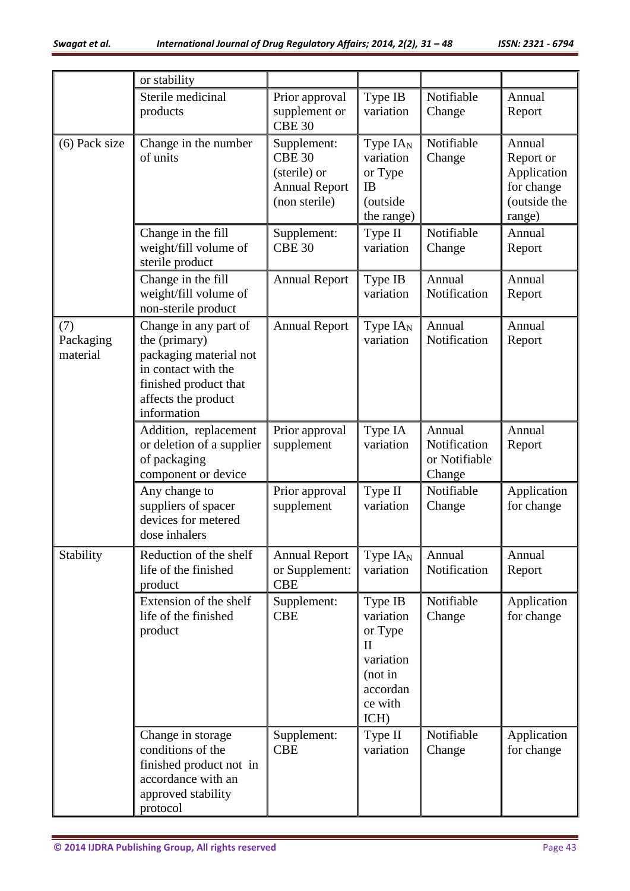|                              | or stability                                                                                                                                           |                                                                                       |                                                                                                        |                                                   |                                                                            |
|------------------------------|--------------------------------------------------------------------------------------------------------------------------------------------------------|---------------------------------------------------------------------------------------|--------------------------------------------------------------------------------------------------------|---------------------------------------------------|----------------------------------------------------------------------------|
|                              | Sterile medicinal<br>products                                                                                                                          | Prior approval<br>supplement or<br><b>CBE 30</b>                                      | Type IB<br>variation                                                                                   | Notifiable<br>Change                              | Annual<br>Report                                                           |
| $(6)$ Pack size              | Change in the number<br>of units                                                                                                                       | Supplement:<br><b>CBE 30</b><br>(sterile) or<br><b>Annual Report</b><br>(non sterile) | Type $IA_{N}$<br>variation<br>or Type<br>IB<br>(outside<br>the range)                                  | Notifiable<br>Change                              | Annual<br>Report or<br>Application<br>for change<br>(outside the<br>range) |
|                              | Change in the fill<br>weight/fill volume of<br>sterile product                                                                                         | Supplement:<br><b>CBE 30</b>                                                          | Type II<br>variation                                                                                   | Notifiable<br>Change                              | Annual<br>Report                                                           |
|                              | Change in the fill<br>weight/fill volume of<br>non-sterile product                                                                                     | <b>Annual Report</b>                                                                  | Type IB<br>variation                                                                                   | Annual<br>Notification                            | Annual<br>Report                                                           |
| (7)<br>Packaging<br>material | Change in any part of<br>the (primary)<br>packaging material not<br>in contact with the<br>finished product that<br>affects the product<br>information | <b>Annual Report</b>                                                                  | Type $IA_{N}$<br>variation                                                                             | Annual<br>Notification                            | Annual<br>Report                                                           |
|                              | Addition, replacement<br>or deletion of a supplier<br>of packaging<br>component or device                                                              | Prior approval<br>supplement                                                          | Type IA<br>variation                                                                                   | Annual<br>Notification<br>or Notifiable<br>Change | Annual<br>Report                                                           |
|                              | Any change to<br>suppliers of spacer<br>devices for metered<br>dose inhalers                                                                           | Prior approval<br>supplement                                                          | Type II<br>variation                                                                                   | Notifiable<br>Change                              | Application<br>for change                                                  |
| Stability                    | Reduction of the shelf<br>life of the finished<br>product                                                                                              | <b>Annual Report</b><br>or Supplement:<br><b>CBE</b>                                  | Type $IAN$<br>variation                                                                                | Annual<br>Notification                            | Annual<br>Report                                                           |
|                              | Extension of the shelf<br>life of the finished<br>product                                                                                              | Supplement:<br><b>CBE</b>                                                             | Type IB<br>variation<br>or Type<br>$\mathbf{I}$<br>variation<br>(not in<br>accordan<br>ce with<br>ICH) | Notifiable<br>Change                              | Application<br>for change                                                  |
|                              | Change in storage<br>conditions of the<br>finished product not in<br>accordance with an<br>approved stability<br>protocol                              | Supplement:<br><b>CBE</b>                                                             | Type II<br>variation                                                                                   | Notifiable<br>Change                              | Application<br>for change                                                  |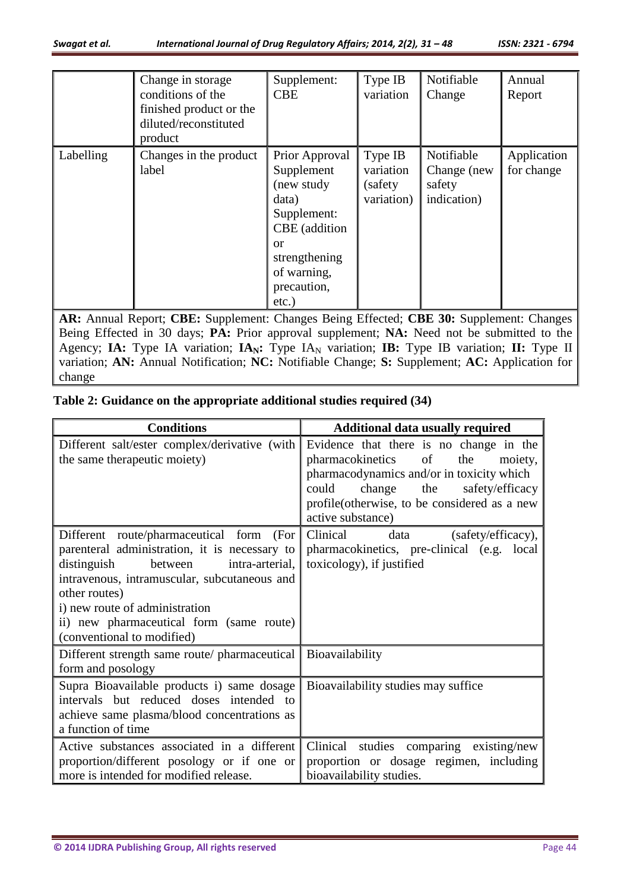|           | Change in storage<br>conditions of the<br>finished product or the<br>diluted/reconstituted<br>product | Supplement:<br><b>CBE</b>                                                                                                                                   | Type IB<br>variation                           | Notifiable<br>Change                               | Annual<br>Report          |
|-----------|-------------------------------------------------------------------------------------------------------|-------------------------------------------------------------------------------------------------------------------------------------------------------------|------------------------------------------------|----------------------------------------------------|---------------------------|
| Labelling | Changes in the product<br>label                                                                       | Prior Approval<br>Supplement<br>(new study<br>data)<br>Supplement:<br>CBE (addition<br><b>or</b><br>strengthening<br>of warning,<br>precaution,<br>$etc.$ ) | Type IB<br>variation<br>(safety)<br>variation) | Notifiable<br>Change (new<br>safety<br>indication) | Application<br>for change |

**AR:** Annual Report; **CBE:** Supplement: Changes Being Effected; **CBE 30:** Supplement: Changes Being Effected in 30 days; **PA:** Prior approval supplement; **NA:** Need not be submitted to the Agency; **IA:** Type IA variation; **IA**<sub>N</sub>: Type IA<sub>N</sub> variation; **IB:** Type IB variation; **II:** Type II variation; **AN:** Annual Notification; **NC:** Notifiable Change; **S:** Supplement; **AC:** Application for change

|  |  |  |  | Table 2: Guidance on the appropriate additional studies required (34) |  |
|--|--|--|--|-----------------------------------------------------------------------|--|
|--|--|--|--|-----------------------------------------------------------------------|--|

| <b>Conditions</b>                                                                                                                                                                                                                                                                                                      | <b>Additional data usually required</b>                                                                                                                                                                                                            |
|------------------------------------------------------------------------------------------------------------------------------------------------------------------------------------------------------------------------------------------------------------------------------------------------------------------------|----------------------------------------------------------------------------------------------------------------------------------------------------------------------------------------------------------------------------------------------------|
| Different salt/ester complex/derivative (with<br>the same therapeutic moiety)                                                                                                                                                                                                                                          | Evidence that there is no change in the<br>pharmacokinetics<br>of<br>the<br>moiety,<br>pharmacodynamics and/or in toxicity which<br>safety/efficacy<br>could<br>change<br>the<br>profile(otherwise, to be considered as a new<br>active substance) |
| Different route/pharmaceutical form<br>(For<br>parenteral administration, it is necessary to<br>distinguish<br>between<br>intra-arterial,<br>intravenous, intramuscular, subcutaneous and<br>other routes)<br>i) new route of administration<br>ii) new pharmaceutical form (same route)<br>(conventional to modified) | Clinical<br>(safety/efficacy),<br>data<br>pharmacokinetics, pre-clinical (e.g. local<br>toxicology), if justified                                                                                                                                  |
| Different strength same route/ pharmaceutical<br>form and posology                                                                                                                                                                                                                                                     | Bioavailability                                                                                                                                                                                                                                    |
| Supra Bioavailable products i) same dosage<br>intervals but reduced doses intended to<br>achieve same plasma/blood concentrations as<br>a function of time                                                                                                                                                             | Bioavailability studies may suffice                                                                                                                                                                                                                |
| Active substances associated in a different<br>proportion/different posology or if one or<br>more is intended for modified release.                                                                                                                                                                                    | Clinical studies comparing existing/new<br>proportion or dosage regimen, including<br>bioavailability studies.                                                                                                                                     |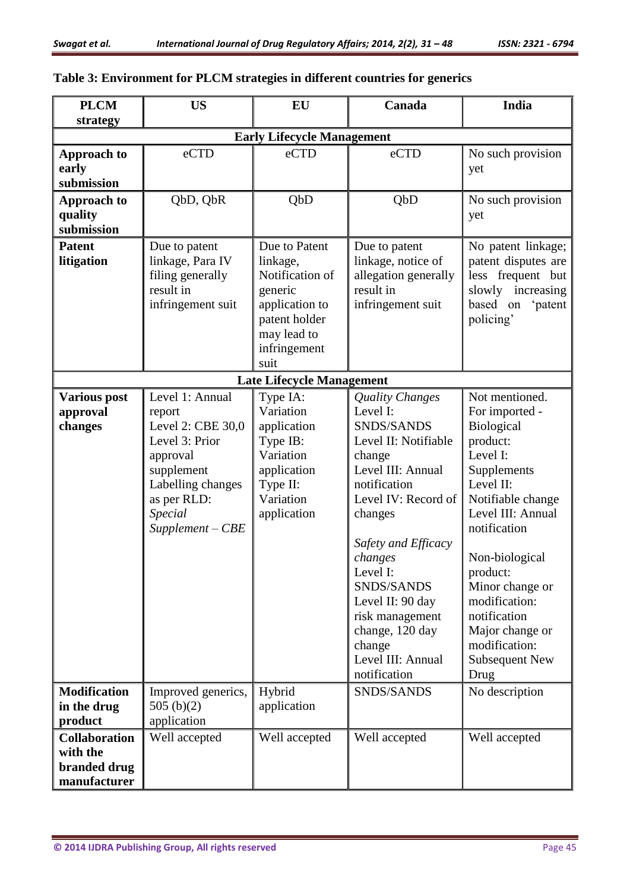## **Table 3: Environment for PLCM strategies in different countries for generics**

| <b>PLCM</b>                                                      | <b>US</b>                                                                                                                                                              | EU                                                                                                                                | Canada                                                                                                                                                                                                                                                                                                                  | <b>India</b>                                                                                                                                                                                                                                                                                                        |  |  |
|------------------------------------------------------------------|------------------------------------------------------------------------------------------------------------------------------------------------------------------------|-----------------------------------------------------------------------------------------------------------------------------------|-------------------------------------------------------------------------------------------------------------------------------------------------------------------------------------------------------------------------------------------------------------------------------------------------------------------------|---------------------------------------------------------------------------------------------------------------------------------------------------------------------------------------------------------------------------------------------------------------------------------------------------------------------|--|--|
| strategy                                                         | <b>Early Lifecycle Management</b>                                                                                                                                      |                                                                                                                                   |                                                                                                                                                                                                                                                                                                                         |                                                                                                                                                                                                                                                                                                                     |  |  |
| <b>Approach to</b>                                               | eCTD                                                                                                                                                                   | eCTD                                                                                                                              | eCTD                                                                                                                                                                                                                                                                                                                    | No such provision                                                                                                                                                                                                                                                                                                   |  |  |
| early                                                            |                                                                                                                                                                        |                                                                                                                                   |                                                                                                                                                                                                                                                                                                                         | yet                                                                                                                                                                                                                                                                                                                 |  |  |
| submission                                                       |                                                                                                                                                                        |                                                                                                                                   |                                                                                                                                                                                                                                                                                                                         |                                                                                                                                                                                                                                                                                                                     |  |  |
| <b>Approach to</b><br>quality                                    | QbD, QbR                                                                                                                                                               | QbD                                                                                                                               | QbD                                                                                                                                                                                                                                                                                                                     | No such provision<br>yet                                                                                                                                                                                                                                                                                            |  |  |
| submission                                                       |                                                                                                                                                                        |                                                                                                                                   |                                                                                                                                                                                                                                                                                                                         |                                                                                                                                                                                                                                                                                                                     |  |  |
| <b>Patent</b><br>litigation                                      | Due to patent<br>linkage, Para IV<br>filing generally<br>result in<br>infringement suit                                                                                | Due to Patent<br>linkage,<br>Notification of<br>generic<br>application to<br>patent holder<br>may lead to<br>infringement<br>suit | Due to patent<br>linkage, notice of<br>allegation generally<br>result in<br>infringement suit                                                                                                                                                                                                                           | No patent linkage;<br>patent disputes are<br>less frequent but<br>slowly increasing<br>based on<br>'patent<br>policing'                                                                                                                                                                                             |  |  |
|                                                                  |                                                                                                                                                                        | <b>Late Lifecycle Management</b>                                                                                                  |                                                                                                                                                                                                                                                                                                                         |                                                                                                                                                                                                                                                                                                                     |  |  |
| <b>Various post</b><br>approval<br>changes                       | Level 1: Annual<br>report<br>Level 2: CBE 30,0<br>Level 3: Prior<br>approval<br>supplement<br>Labelling changes<br>as per RLD:<br><b>Special</b><br>$Supplement - CBE$ | Type IA:<br>Variation<br>application<br>Type IB:<br>Variation<br>application<br>Type II:<br>Variation<br>application              | Quality Changes<br>Level I:<br>SNDS/SANDS<br>Level II: Notifiable<br>change<br>Level III: Annual<br>notification<br>Level IV: Record of<br>changes<br>Safety and Efficacy<br>changes<br>Level I:<br>SNDS/SANDS<br>Level II: 90 day<br>risk management<br>change, 120 day<br>change<br>Level III: Annual<br>notification | Not mentioned.<br>For imported -<br>Biological<br>product:<br>Level I:<br>Supplements<br>Level II:<br>Notifiable change<br>Level III: Annual<br>notification<br>Non-biological<br>product:<br>Minor change or<br>modification:<br>notification<br>Major change or<br>modification:<br><b>Subsequent New</b><br>Drug |  |  |
| <b>Modification</b><br>in the drug<br>product                    | Improved generics,<br>505(b)(2)<br>application                                                                                                                         | Hybrid<br>application                                                                                                             | SNDS/SANDS                                                                                                                                                                                                                                                                                                              | No description                                                                                                                                                                                                                                                                                                      |  |  |
| <b>Collaboration</b><br>with the<br>branded drug<br>manufacturer | Well accepted                                                                                                                                                          | Well accepted                                                                                                                     | Well accepted                                                                                                                                                                                                                                                                                                           | Well accepted                                                                                                                                                                                                                                                                                                       |  |  |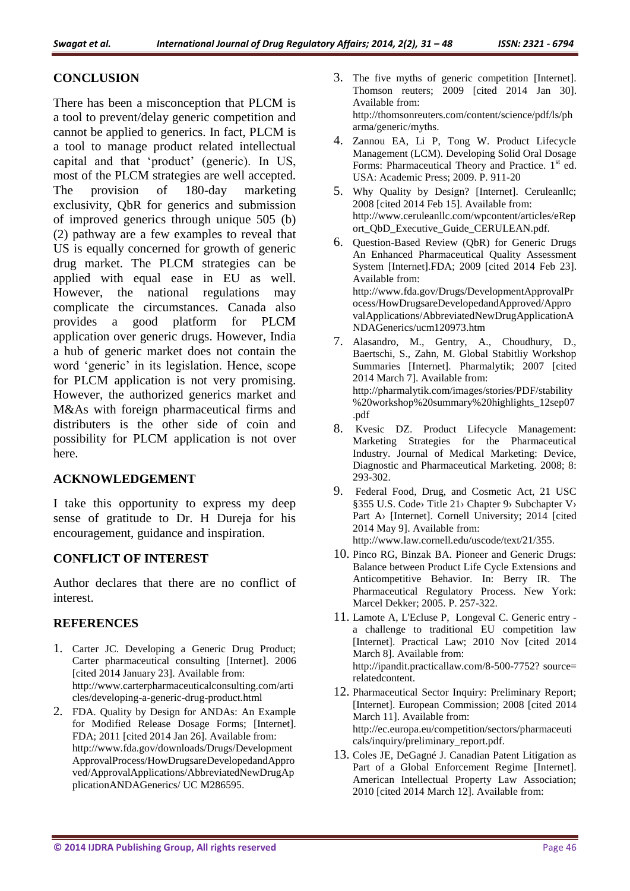### **CONCLUSION**

There has been a misconception that PLCM is a tool to prevent/delay generic competition and cannot be applied to generics. In fact, PLCM is a tool to manage product related intellectual capital and that 'product' (generic). In US, most of the PLCM strategies are well accepted. The provision of 180-day marketing exclusivity, QbR for generics and submission of improved generics through unique 505 (b) (2) pathway are a few examples to reveal that US is equally concerned for growth of generic drug market. The PLCM strategies can be applied with equal ease in EU as well. However, the national regulations may complicate the circumstances. Canada also provides a good platform for PLCM application over generic drugs. However, India a hub of generic market does not contain the word 'generic' in its legislation. Hence, scope for PLCM application is not very promising. However, the authorized generics market and M&As with foreign pharmaceutical firms and distributers is the other side of coin and possibility for PLCM application is not over here.

#### **ACKNOWLEDGEMENT**

I take this opportunity to express my deep sense of gratitude to Dr. H Dureja for his encouragement, guidance and inspiration.

#### **CONFLICT OF INTEREST**

Author declares that there are no conflict of interest.

#### **REFERENCES**

- 1. Carter JC. Developing a Generic Drug Product; Carter pharmaceutical consulting [Internet]. 2006 [cited 2014 January 23]. Available from: http://www.carterpharmaceuticalconsulting.com/arti cles/developing-a-generic-drug-product.html
- 2. FDA. Quality by Design for ANDAs: An Example for Modified Release Dosage Forms; [Internet]. FDA; 2011 [cited 2014 Jan 26]. Available from: http://www.fda.gov/downloads/Drugs/Development ApprovalProcess/HowDrugsareDevelopedandAppro ved/ApprovalApplications/AbbreviatedNewDrugAp plicationANDAGenerics/ UC M286595.
- 3. The five myths of generic competition [Internet]. Thomson reuters; 2009 [cited 2014 Jan 30]. Available from: http://thomsonreuters.com/content/science/pdf/ls/ph arma/generic/myths.
- 4. Zannou EA, Li P, Tong W. Product Lifecycle Management (LCM). Developing Solid Oral Dosage Forms: Pharmaceutical Theory and Practice. 1<sup>st</sup> ed. USA: Academic Press; 2009. P. 911-20
- 5. Why Quality by Design? [Internet]. Ceruleanllc; 2008 [cited 2014 Feb 15]. Available from: http://www.ceruleanllc.com/wpcontent/articles/eRep ort\_QbD\_Executive\_Guide\_CERULEAN.pdf.
- 6. Question-Based Review (QbR) for Generic Drugs An Enhanced Pharmaceutical Quality Assessment System [Internet].FDA; 2009 [cited 2014 Feb 23]. Available from: http://www.fda.gov/Drugs/DevelopmentApprovalPr ocess/HowDrugsareDevelopedandApproved/Appro valApplications/AbbreviatedNewDrugApplicationA NDAGenerics/ucm120973.htm
- 7. Alasandro, M., Gentry, A., Choudhury, D., Baertschi, S., Zahn, M. Global Stabitliy Workshop Summaries [Internet]. Pharmalytik; 2007 [cited 2014 March 7]. Available from: http://pharmalytik.com/images/stories/PDF/stability %20workshop%20summary%20highlights\_12sep07 .pdf
- 8. Kvesic DZ. Product Lifecycle Management: Marketing Strategies for the Pharmaceutical Industry. Journal of Medical Marketing: Device, Diagnostic and Pharmaceutical Marketing. 2008; 8: 293-302.
- 9. Federal Food, Drug, and Cosmetic Act, 21 USC §355 [U.S. Code›](http://www.law.cornell.edu/uscode/text) [Title 21›](http://www.law.cornell.edu/uscode/text/21) [Chapter 9›](http://www.law.cornell.edu/uscode/text/21/chapter-9) [Subchapter V›](http://www.law.cornell.edu/uscode/text/21/chapter-9/subchapter-V) Part A> [Internet]. Cornell University; 2014 [cited] 2014 May 9]. Available from: http://www.law.cornell.edu/uscode/text/21/355.
- 10. Pinco RG, Binzak BA. Pioneer and Generic Drugs: Balance between Product Life Cycle Extensions and Anticompetitive Behavior. In: Berry IR. The Pharmaceutical Regulatory Process. New York: Marcel Dekker; 2005. P. 257-322.
- 11. Lamote A, L'Ecluse P, Longeval C. Generic entry a challenge to traditional EU competition law [Internet]. Practical Law; 2010 Nov [cited 2014 March 8]. Available from: http://ipandit.practicallaw.com/8-500-7752? source= relatedcontent.
- 12. Pharmaceutical Sector Inquiry: Preliminary Report; [Internet]. European Commission; 2008 [cited 2014 March 11]. Available from: http://ec.europa.eu/competition/sectors/pharmaceuti cals/inquiry/preliminary\_report.pdf.
- 13. Coles JE, DeGagné J. Canadian Patent Litigation as Part of a Global Enforcement Regime [Internet]. American Intellectual Property Law Association; 2010 [cited 2014 March 12]. Available from: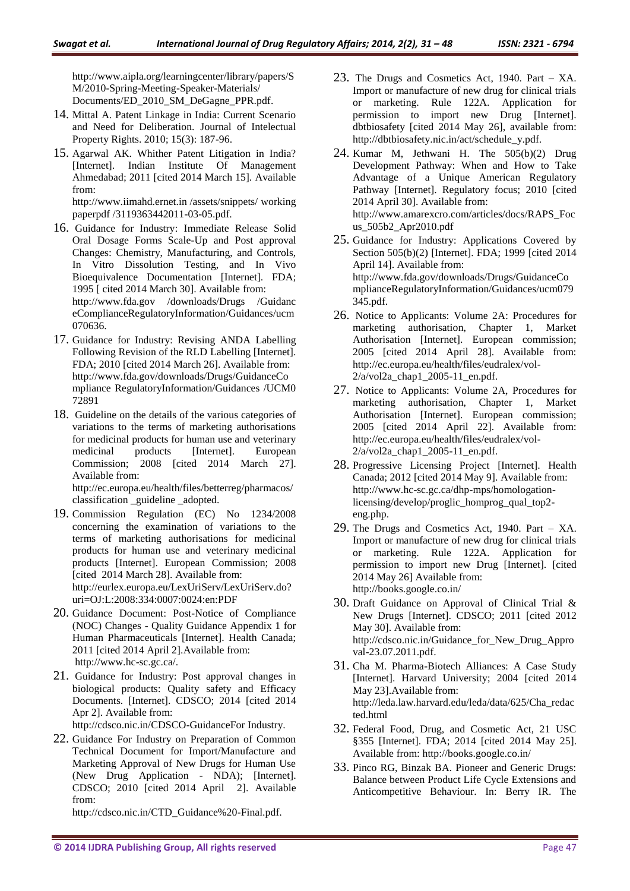http://www.aipla.org/learningcenter/library/papers/S M/2010-Spring-Meeting-Speaker-Materials/ Documents/ED\_2010\_SM\_DeGagne\_PPR.pdf.

- 14. Mittal A. Patent Linkage in India: Current Scenario and Need for Deliberation. Journal of Intelectual Property Rights. 2010; 15(3): 187-96.
- 15. Agarwal AK. Whither Patent Litigation in India? [Internet]. Indian Institute Of Management Ahmedabad; 2011 [cited 2014 March 15]. Available from:

http://www.iimahd.ernet.in /assets/snippets/ working paperpdf /3119363442011-03-05.pdf.

- 16. Guidance for Industry: Immediate Release Solid Oral Dosage Forms Scale-Up and Post approval Changes: Chemistry, Manufacturing, and Controls, In Vitro Dissolution Testing, and In Vivo Bioequivalence Documentation [Internet]. FDA; 1995 [ cited 2014 March 30]. Available from: http://www.fda.gov /downloads/Drugs /Guidanc eComplianceRegulatoryInformation/Guidances/ucm 070636.
- 17. Guidance for Industry: Revising ANDA Labelling Following Revision of the RLD Labelling [Internet]. FDA; 2010 [cited 2014 March 26]. Available from: http://www.fda.gov/downloads/Drugs/GuidanceCo mpliance RegulatoryInformation/Guidances /UCM0 72891
- 18. Guideline on the details of the various categories of variations to the terms of marketing authorisations for medicinal products for human use and veterinary medicinal products [Internet]. European Commission; 2008 [cited 2014 March 27]. Available from:

http://ec.europa.eu/health/files/betterreg/pharmacos/ classification \_guideline \_adopted.

- 19. Commission Regulation (EC) No 1234/2008 concerning the examination of variations to the terms of marketing authorisations for medicinal products for human use and veterinary medicinal products [Internet]. European Commission; 2008 [cited 2014 March 28]. Available from: http://eurlex.europa.eu/LexUriServ/LexUriServ.do? uri=OJ:L:2008:334:0007:0024:en:PDF
- 20. Guidance Document: Post-Notice of Compliance (NOC) Changes - Quality Guidance Appendix 1 for Human Pharmaceuticals [Internet]. Health Canada; 2011 [cited 2014 April 2].Available from: http://www.hc-sc.gc.ca/.
- 21. Guidance for Industry: Post approval changes in biological products: Quality safety and Efficacy Documents. [Internet]. CDSCO; 2014 [cited 2014 Apr 2]. Available from:

http://cdsco.nic.in/CDSCO-GuidanceFor Industry.

22. Guidance For Industry on Preparation of Common Technical Document for Import/Manufacture and Marketing Approval of New Drugs for Human Use (New Drug Application - NDA); [Internet]. CDSCO; 2010 [cited 2014 April 2]. Available from:

http://cdsco.nic.in/CTD\_Guidance%20-Final.pdf.

- 23. The Drugs and Cosmetics Act, 1940. Part XA. Import or manufacture of new drug for clinical trials or marketing. Rule 122A. Application for permission to import new Drug [Internet]. dbtbiosafety [cited 2014 May 26], available from: http://dbtbiosafety.nic.in/act/schedule\_y.pdf.
- 24. Kumar M, Jethwani H. The 505(b)(2) Drug Development Pathway: When and How to Take Advantage of a Unique American Regulatory Pathway [Internet]. Regulatory focus; 2010 [cited 2014 April 30]. Available from: http://www.amarexcro.com/articles/docs/RAPS\_Foc us\_505b2\_Apr2010.pdf
- 25. Guidance for Industry: Applications Covered by Section 505(b)(2) [Internet]. FDA; 1999 [cited 2014 April 14]. Available from: http://www.fda.gov/downloads/Drugs/GuidanceCo mplianceRegulatoryInformation/Guidances/ucm079 345.pdf.
- 26. Notice to Applicants: Volume 2A: Procedures for marketing authorisation, Chapter 1, Market Authorisation [Internet]. European commission; 2005 [cited 2014 April 28]. Available from: http://ec.europa.eu/health/files/eudralex/vol-2/a/vol2a\_chap1\_2005-11\_en.pdf.
- 27. Notice to Applicants: Volume 2A, Procedures for marketing authorisation, Chapter 1, Market Authorisation [Internet]. European commission; 2005 [cited 2014 April 22]. Available from: http://ec.europa.eu/health/files/eudralex/vol- $2/a$ /vol $2a$  chap1  $2005-11$  en.pdf.
- 28. Progressive Licensing Project [Internet]. Health Canada; 2012 [cited 2014 May 9]. Available from: http://www.hc-sc.gc.ca/dhp-mps/homologationlicensing/develop/proglic\_homprog\_qual\_top2 eng.php.
- 29. The Drugs and Cosmetics Act, 1940. Part XA. Import or manufacture of new drug for clinical trials or marketing. Rule 122A. Application for permission to import new Drug [Internet]. [cited 2014 May 26] Available from: http://books.google.co.in/
- 30. Draft Guidance on Approval of Clinical Trial & New Drugs [Internet]. CDSCO; 2011 [cited 2012 May 30]. Available from: http://cdsco.nic.in/Guidance\_for\_New\_Drug\_Appro val-23.07.2011.pdf.
- 31. Cha M. Pharma-Biotech Alliances: A Case Study [Internet]. Harvard University; 2004 [cited 2014 May 23].Available from: http://leda.law.harvard.edu/leda/data/625/Cha\_redac ted.html
- 32. Federal Food, Drug, and Cosmetic Act, 21 USC §355 [Internet]. FDA; 2014 [cited 2014 May 25]. Available from: http://books.google.co.in/
- 33. Pinco RG, Binzak BA. Pioneer and Generic Drugs: Balance between Product Life Cycle Extensions and Anticompetitive Behaviour. In: Berry IR. The